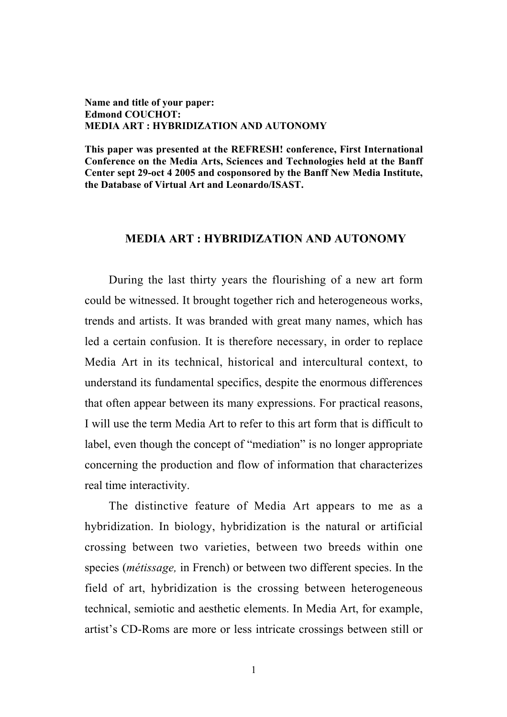## Name and title of your paper: Edmond COUCHOT: MEDIA ART : HYBRIDIZATION AND AUTONOMY

This paper was presented at the REFRESH! conference, First International Conference on the Media Arts, Sciences and Technologies held at the Banff Center sept 29-oct 4 2005 and cosponsored by the Banff New Media Institute, the Database of Virtual Art and Leonardo/ISAST.

## MEDIA ART : HYBRIDIZATION AND AUTONOMY

During the last thirty years the flourishing of a new art form could be witnessed. It brought together rich and heterogeneous works, trends and artists. It was branded with great many names, which has led a certain confusion. It is therefore necessary, in order to replace Media Art in its technical, historical and intercultural context, to understand its fundamental specifics, despite the enormous differences that often appear between its many expressions. For practical reasons, I will use the term Media Art to refer to this art form that is difficult to label, even though the concept of "mediation" is no longer appropriate concerning the production and flow of information that characterizes real time interactivity.

The distinctive feature of Media Art appears to me as a hybridization. In biology, hybridization is the natural or artificial crossing between two varieties, between two breeds within one species (*métissage,* in French) or between two different species. In the field of art, hybridization is the crossing between heterogeneous technical, semiotic and aesthetic elements. In Media Art, for example, artist's CD-Roms are more or less intricate crossings between still or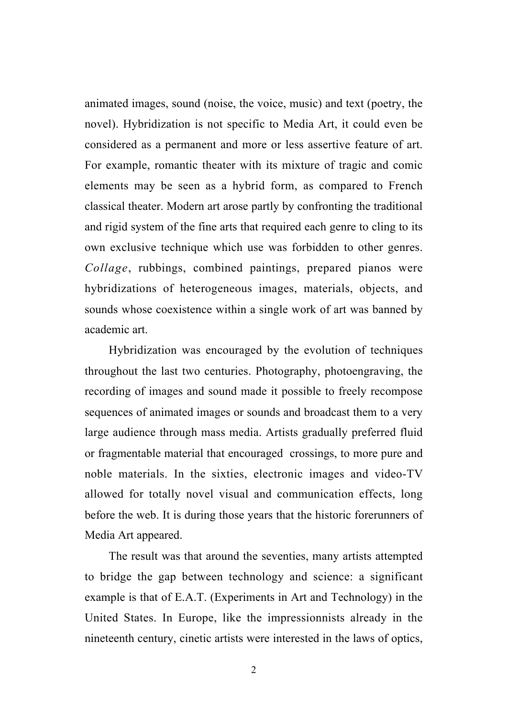animated images, sound (noise, the voice, music) and text (poetry, the novel). Hybridization is not specific to Media Art, it could even be considered as a permanent and more or less assertive feature of art. For example, romantic theater with its mixture of tragic and comic elements may be seen as a hybrid form, as compared to French classical theater. Modern art arose partly by confronting the traditional and rigid system of the fine arts that required each genre to cling to its own exclusive technique which use was forbidden to other genres. *Collage*, rubbings, combined paintings, prepared pianos were hybridizations of heterogeneous images, materials, objects, and sounds whose coexistence within a single work of art was banned by academic art.

Hybridization was encouraged by the evolution of techniques throughout the last two centuries. Photography, photoengraving, the recording of images and sound made it possible to freely recompose sequences of animated images or sounds and broadcast them to a very large audience through mass media. Artists gradually preferred fluid or fragmentable material that encouraged crossings, to more pure and noble materials. In the sixties, electronic images and video-TV allowed for totally novel visual and communication effects, long before the web. It is during those years that the historic forerunners of Media Art appeared.

The result was that around the seventies, many artists attempted to bridge the gap between technology and science: a significant example is that of E.A.T. (Experiments in Art and Technology) in the United States. In Europe, like the impressionnists already in the nineteenth century, cinetic artists were interested in the laws of optics,

2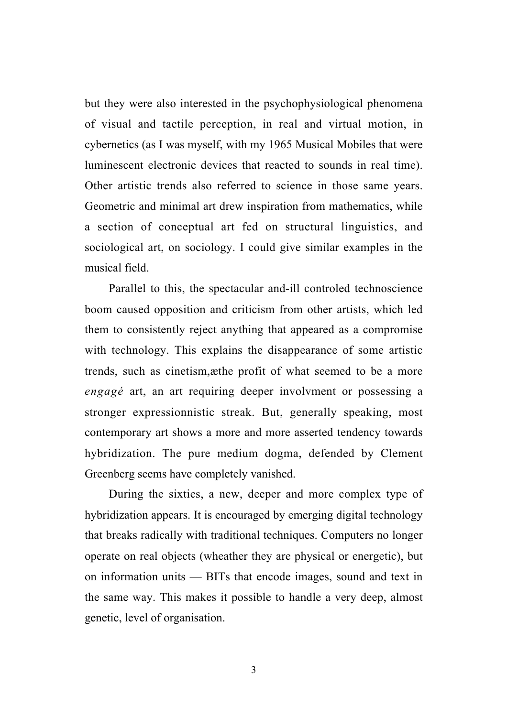but they were also interested in the psychophysiological phenomena of visual and tactile perception, in real and virtual motion, in cybernetics (as I was myself, with my 1965 Musical Mobiles that were luminescent electronic devices that reacted to sounds in real time). Other artistic trends also referred to science in those same years. Geometric and minimal art drew inspiration from mathematics, while a section of conceptual art fed on structural linguistics, and sociological art, on sociology. I could give similar examples in the musical field.

Parallel to this, the spectacular and-ill controled technoscience boom caused opposition and criticism from other artists, which led them to consistently reject anything that appeared as a compromise with technology. This explains the disappearance of some artistic trends, such as cinetism,æthe profit of what seemed to be a more *engagé* art, an art requiring deeper involvment or possessing a stronger expressionnistic streak. But, generally speaking, most contemporary art shows a more and more asserted tendency towards hybridization. The pure medium dogma, defended by Clement Greenberg seems have completely vanished.

During the sixties, a new, deeper and more complex type of hybridization appears. It is encouraged by emerging digital technology that breaks radically with traditional techniques. Computers no longer operate on real objects (wheather they are physical or energetic), but on information units — BITs that encode images, sound and text in the same way. This makes it possible to handle a very deep, almost genetic, level of organisation.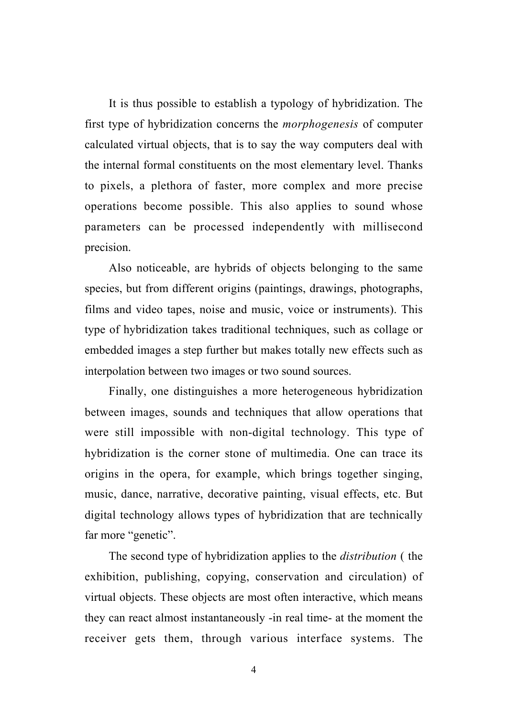It is thus possible to establish a typology of hybridization. The first type of hybridization concerns the *morphogenesis* of computer calculated virtual objects, that is to say the way computers deal with the internal formal constituents on the most elementary level. Thanks to pixels, a plethora of faster, more complex and more precise operations become possible. This also applies to sound whose parameters can be processed independently with millisecond precision.

Also noticeable, are hybrids of objects belonging to the same species, but from different origins (paintings, drawings, photographs, films and video tapes, noise and music, voice or instruments). This type of hybridization takes traditional techniques, such as collage or embedded images a step further but makes totally new effects such as interpolation between two images or two sound sources.

Finally, one distinguishes a more heterogeneous hybridization between images, sounds and techniques that allow operations that were still impossible with non-digital technology. This type of hybridization is the corner stone of multimedia. One can trace its origins in the opera, for example, which brings together singing, music, dance, narrative, decorative painting, visual effects, etc. But digital technology allows types of hybridization that are technically far more "genetic".

The second type of hybridization applies to the *distribution* ( the exhibition, publishing, copying, conservation and circulation) of virtual objects. These objects are most often interactive, which means they can react almost instantaneously -in real time- at the moment the receiver gets them, through various interface systems. The

4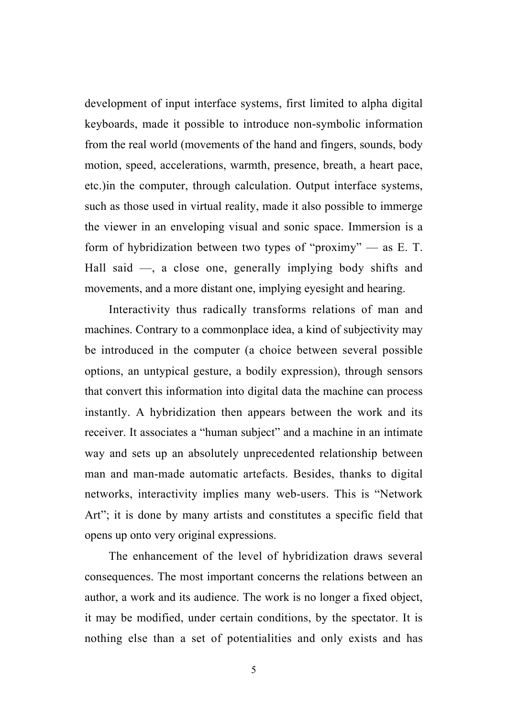development of input interface systems, first limited to alpha digital keyboards, made it possible to introduce non-symbolic information from the real world (movements of the hand and fingers, sounds, body motion, speed, accelerations, warmth, presence, breath, a heart pace, etc.)in the computer, through calculation. Output interface systems, such as those used in virtual reality, made it also possible to immerge the viewer in an enveloping visual and sonic space. Immersion is a form of hybridization between two types of "proximy" — as E. T. Hall said —, a close one, generally implying body shifts and movements, and a more distant one, implying eyesight and hearing.

Interactivity thus radically transforms relations of man and machines. Contrary to a commonplace idea, a kind of subjectivity may be introduced in the computer (a choice between several possible options, an untypical gesture, a bodily expression), through sensors that convert this information into digital data the machine can process instantly. A hybridization then appears between the work and its receiver. It associates a "human subject" and a machine in an intimate way and sets up an absolutely unprecedented relationship between man and man-made automatic artefacts. Besides, thanks to digital networks, interactivity implies many web-users. This is "Network Art"; it is done by many artists and constitutes a specific field that opens up onto very original expressions.

The enhancement of the level of hybridization draws several consequences. The most important concerns the relations between an author, a work and its audience. The work is no longer a fixed object, it may be modified, under certain conditions, by the spectator. It is nothing else than a set of potentialities and only exists and has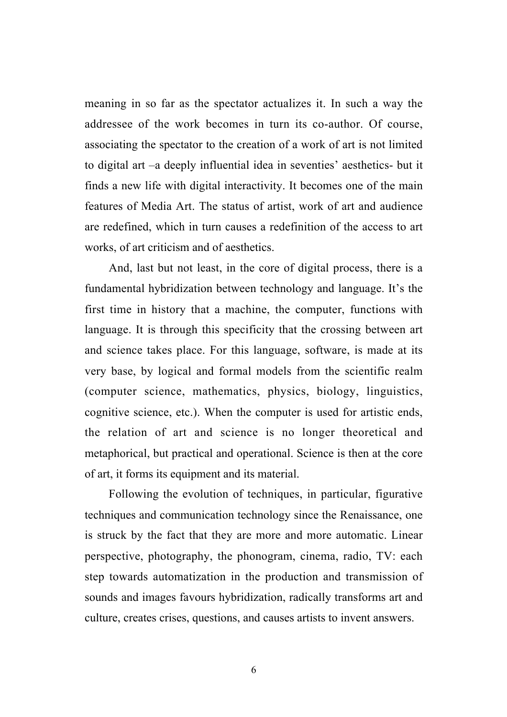meaning in so far as the spectator actualizes it. In such a way the addressee of the work becomes in turn its co-author. Of course, associating the spectator to the creation of a work of art is not limited to digital art –a deeply influential idea in seventies' aesthetics- but it finds a new life with digital interactivity. It becomes one of the main features of Media Art. The status of artist, work of art and audience are redefined, which in turn causes a redefinition of the access to art works, of art criticism and of aesthetics.

And, last but not least, in the core of digital process, there is a fundamental hybridization between technology and language. It's the first time in history that a machine, the computer, functions with language. It is through this specificity that the crossing between art and science takes place. For this language, software, is made at its very base, by logical and formal models from the scientific realm (computer science, mathematics, physics, biology, linguistics, cognitive science, etc.). When the computer is used for artistic ends, the relation of art and science is no longer theoretical and metaphorical, but practical and operational. Science is then at the core of art, it forms its equipment and its material.

Following the evolution of techniques, in particular, figurative techniques and communication technology since the Renaissance, one is struck by the fact that they are more and more automatic. Linear perspective, photography, the phonogram, cinema, radio, TV: each step towards automatization in the production and transmission of sounds and images favours hybridization, radically transforms art and culture, creates crises, questions, and causes artists to invent answers.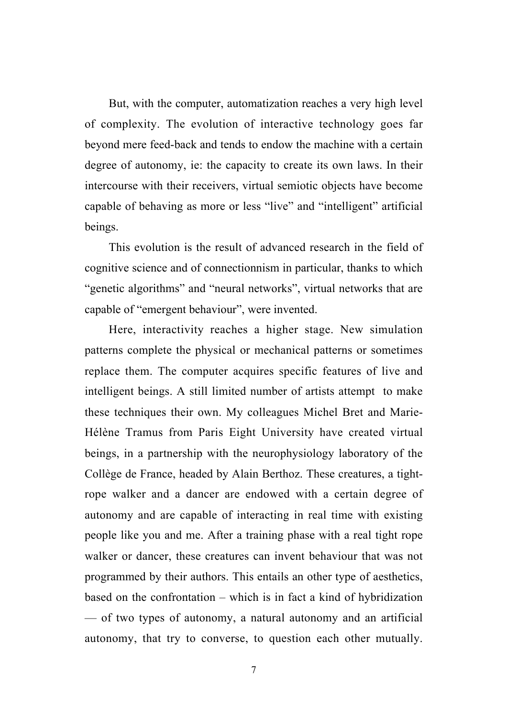But, with the computer, automatization reaches a very high level of complexity. The evolution of interactive technology goes far beyond mere feed-back and tends to endow the machine with a certain degree of autonomy, ie: the capacity to create its own laws. In their intercourse with their receivers, virtual semiotic objects have become capable of behaving as more or less "live" and "intelligent" artificial beings.

This evolution is the result of advanced research in the field of cognitive science and of connectionnism in particular, thanks to which "genetic algorithms" and "neural networks", virtual networks that are capable of "emergent behaviour", were invented.

Here, interactivity reaches a higher stage. New simulation patterns complete the physical or mechanical patterns or sometimes replace them. The computer acquires specific features of live and intelligent beings. A still limited number of artists attempt to make these techniques their own. My colleagues Michel Bret and Marie-Hélène Tramus from Paris Eight University have created virtual beings, in a partnership with the neurophysiology laboratory of the Collège de France, headed by Alain Berthoz. These creatures, a tightrope walker and a dancer are endowed with a certain degree of autonomy and are capable of interacting in real time with existing people like you and me. After a training phase with a real tight rope walker or dancer, these creatures can invent behaviour that was not programmed by their authors. This entails an other type of aesthetics, based on the confrontation – which is in fact a kind of hybridization — of two types of autonomy, a natural autonomy and an artificial autonomy, that try to converse, to question each other mutually.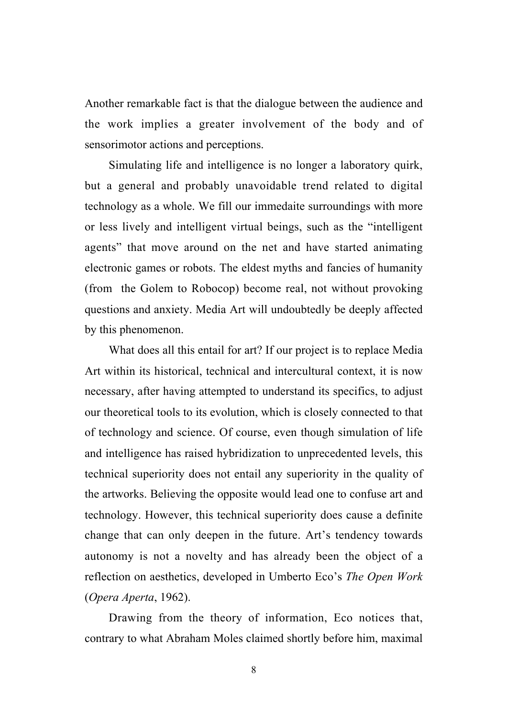Another remarkable fact is that the dialogue between the audience and the work implies a greater involvement of the body and of sensorimotor actions and perceptions.

Simulating life and intelligence is no longer a laboratory quirk, but a general and probably unavoidable trend related to digital technology as a whole. We fill our immedaite surroundings with more or less lively and intelligent virtual beings, such as the "intelligent agents" that move around on the net and have started animating electronic games or robots. The eldest myths and fancies of humanity (from the Golem to Robocop) become real, not without provoking questions and anxiety. Media Art will undoubtedly be deeply affected by this phenomenon.

What does all this entail for art? If our project is to replace Media Art within its historical, technical and intercultural context, it is now necessary, after having attempted to understand its specifics, to adjust our theoretical tools to its evolution, which is closely connected to that of technology and science. Of course, even though simulation of life and intelligence has raised hybridization to unprecedented levels, this technical superiority does not entail any superiority in the quality of the artworks. Believing the opposite would lead one to confuse art and technology. However, this technical superiority does cause a definite change that can only deepen in the future. Art's tendency towards autonomy is not a novelty and has already been the object of a reflection on aesthetics, developed in Umberto Eco's *The Open Work* (*Opera Aperta*, 1962).

Drawing from the theory of information, Eco notices that, contrary to what Abraham Moles claimed shortly before him, maximal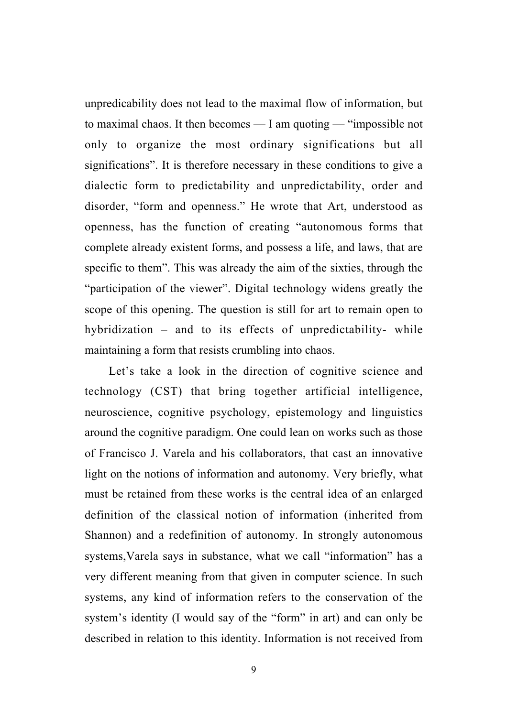unpredicability does not lead to the maximal flow of information, but to maximal chaos. It then becomes — I am quoting — "impossible not only to organize the most ordinary significations but all significations". It is therefore necessary in these conditions to give a dialectic form to predictability and unpredictability, order and disorder, "form and openness." He wrote that Art, understood as openness, has the function of creating "autonomous forms that complete already existent forms, and possess a life, and laws, that are specific to them". This was already the aim of the sixties, through the "participation of the viewer". Digital technology widens greatly the scope of this opening. The question is still for art to remain open to hybridization – and to its effects of unpredictability- while maintaining a form that resists crumbling into chaos.

Let's take a look in the direction of cognitive science and technology (CST) that bring together artificial intelligence, neuroscience, cognitive psychology, epistemology and linguistics around the cognitive paradigm. One could lean on works such as those of Francisco J. Varela and his collaborators, that cast an innovative light on the notions of information and autonomy. Very briefly, what must be retained from these works is the central idea of an enlarged definition of the classical notion of information (inherited from Shannon) and a redefinition of autonomy. In strongly autonomous systems,Varela says in substance, what we call "information" has a very different meaning from that given in computer science. In such systems, any kind of information refers to the conservation of the system's identity (I would say of the "form" in art) and can only be described in relation to this identity. Information is not received from